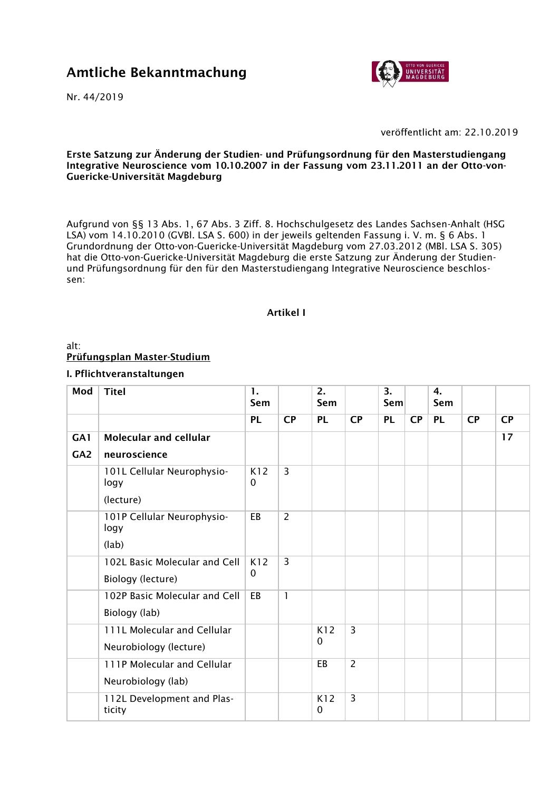# Amtliche Bekanntmachung

Nr. 44/2019



veröffentlicht am: 22.10.2019

Erste Satzung zur Änderung der Studien- und Prüfungsordnung für den Masterstudiengang Integrative Neuroscience vom 10.10.2007 in der Fassung vom 23.11.2011 an der Otto-von-Guericke-Universität Magdeburg

Aufgrund von §§ 13 Abs. 1, 67 Abs. 3 Ziff. 8. Hochschulgesetz des Landes Sachsen-Anhalt (HSG LSA) vom 14.10.2010 (GVBl. LSA S. 600) in der jeweils geltenden Fassung i. V. m. § 6 Abs. 1 Grundordnung der Otto-von-Guericke-Universität Magdeburg vom 27.03.2012 (MBl. LSA S. 305) hat die Otto-von-Guericke-Universität Magdeburg die erste Satzung zur Änderung der Studienund Prüfungsordnung für den für den Masterstudiengang Integrative Neuroscience beschlossen:

#### Artikel I

## alt: Prüfungsplan Master-Studium

### I. Pflichtveranstaltungen

| Mod             | <b>Titel</b>                         | 1.<br>Sem       |                | 2.<br>Sem           |                | 3.<br>Sem |    | 4.<br>Sem |    |           |
|-----------------|--------------------------------------|-----------------|----------------|---------------------|----------------|-----------|----|-----------|----|-----------|
|                 |                                      | <b>PL</b>       | <b>CP</b>      | <b>PL</b>           | <b>CP</b>      | <b>PL</b> | CP | <b>PL</b> | CP | <b>CP</b> |
| GA1             | <b>Molecular and cellular</b>        |                 |                |                     |                |           |    |           |    | 17        |
| GA <sub>2</sub> | neuroscience                         |                 |                |                     |                |           |    |           |    |           |
|                 | 101L Cellular Neurophysio-<br>logy   | K12<br>$\Omega$ | $\overline{3}$ |                     |                |           |    |           |    |           |
|                 | (lecture)                            |                 |                |                     |                |           |    |           |    |           |
|                 | 101P Cellular Neurophysio-<br>logy   | EB              | $\overline{2}$ |                     |                |           |    |           |    |           |
|                 | (lab)                                |                 |                |                     |                |           |    |           |    |           |
|                 | 102L Basic Molecular and Cell        | K12             | 3              |                     |                |           |    |           |    |           |
|                 | Biology (lecture)                    | 0               |                |                     |                |           |    |           |    |           |
|                 | 102P Basic Molecular and Cell        | EB              | 1              |                     |                |           |    |           |    |           |
|                 | Biology (lab)                        |                 |                |                     |                |           |    |           |    |           |
|                 | 111L Molecular and Cellular          |                 |                | K12                 | $\overline{3}$ |           |    |           |    |           |
|                 | Neurobiology (lecture)               |                 |                | $\mathbf{0}$        |                |           |    |           |    |           |
|                 | 111P Molecular and Cellular          |                 |                | EB                  | $\overline{2}$ |           |    |           |    |           |
|                 | Neurobiology (lab)                   |                 |                |                     |                |           |    |           |    |           |
|                 | 112L Development and Plas-<br>ticity |                 |                | K12<br>$\mathbf{0}$ | 3              |           |    |           |    |           |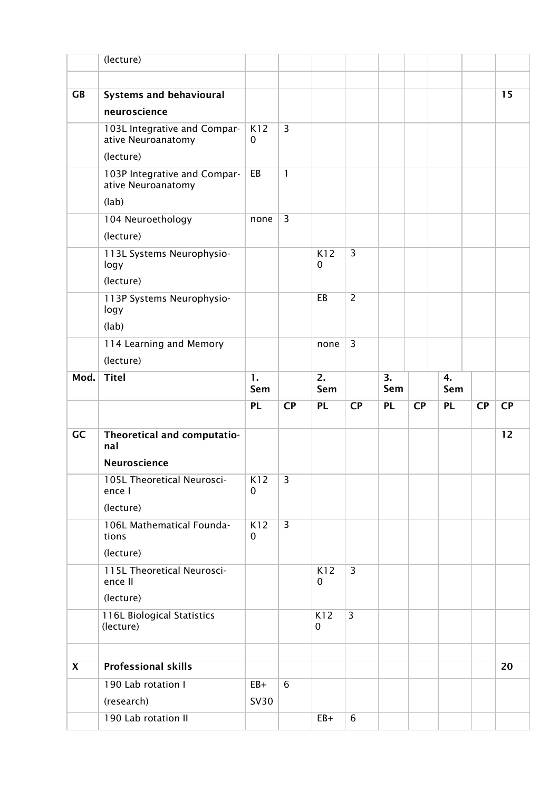|           | (lecture)                                          |                  |                |                    |                |           |           |           |           |           |
|-----------|----------------------------------------------------|------------------|----------------|--------------------|----------------|-----------|-----------|-----------|-----------|-----------|
|           |                                                    |                  |                |                    |                |           |           |           |           |           |
| <b>GB</b> | <b>Systems and behavioural</b>                     |                  |                |                    |                |           |           |           |           | 15        |
|           | neuroscience                                       |                  |                |                    |                |           |           |           |           |           |
|           | 103L Integrative and Compar-<br>ative Neuroanatomy | K12<br>0         | 3              |                    |                |           |           |           |           |           |
|           | (lecture)                                          |                  |                |                    |                |           |           |           |           |           |
|           | 103P Integrative and Compar-<br>ative Neuroanatomy | EB               | $\mathbf{1}$   |                    |                |           |           |           |           |           |
|           | (lab)                                              |                  |                |                    |                |           |           |           |           |           |
|           | 104 Neuroethology<br>(lecture)                     | none             | $\overline{3}$ |                    |                |           |           |           |           |           |
|           | 113L Systems Neurophysio-<br>logy<br>(lecture)     |                  |                | K12<br>$\mathbf 0$ | $\overline{3}$ |           |           |           |           |           |
|           | 113P Systems Neurophysio-<br>logy<br>(lab)         |                  |                | EB                 | $\overline{2}$ |           |           |           |           |           |
|           | 114 Learning and Memory                            |                  |                | none               | 3              |           |           |           |           |           |
|           | (lecture)                                          |                  |                |                    |                |           |           |           |           |           |
| Mod.      | <b>Titel</b>                                       | 1.<br>Sem        |                | 2.<br>Sem          |                | 3.<br>Sem |           | 4.<br>Sem |           |           |
|           |                                                    | <b>PL</b>        | <b>CP</b>      | <b>PL</b>          | <b>CP</b>      | <b>PL</b> | <b>CP</b> | <b>PL</b> | <b>CP</b> | <b>CP</b> |
| GC        | Theoretical and computatio-<br>nal                 |                  |                |                    |                |           |           |           |           | 12        |
|           | Neuroscience                                       |                  |                |                    |                |           |           |           |           |           |
|           |                                                    |                  |                |                    |                |           |           |           |           |           |
|           | 105L Theoretical Neurosci-<br>ence I               | K12<br>0         | 3              |                    |                |           |           |           |           |           |
|           | (lecture)                                          |                  |                |                    |                |           |           |           |           |           |
|           | 106L Mathematical Founda-<br>tions                 | K12<br>$\pmb{0}$ | $\overline{3}$ |                    |                |           |           |           |           |           |
|           | (lecture)                                          |                  |                |                    |                |           |           |           |           |           |
|           | 115L Theoretical Neurosci-<br>ence II              |                  |                | K12<br>$\mathbf 0$ | $\overline{3}$ |           |           |           |           |           |
|           | (lecture)                                          |                  |                |                    |                |           |           |           |           |           |
|           | 116L Biological Statistics<br>(lecture)            |                  |                | K12<br>$\mathbf 0$ | 3              |           |           |           |           |           |
| X         | <b>Professional skills</b>                         |                  |                |                    |                |           |           |           |           | 20        |
|           | 190 Lab rotation I                                 | $EB+$            | 6              |                    |                |           |           |           |           |           |
|           | (research)                                         | <b>SV30</b>      |                |                    |                |           |           |           |           |           |
|           | 190 Lab rotation II                                |                  |                | $EB+$              | 6              |           |           |           |           |           |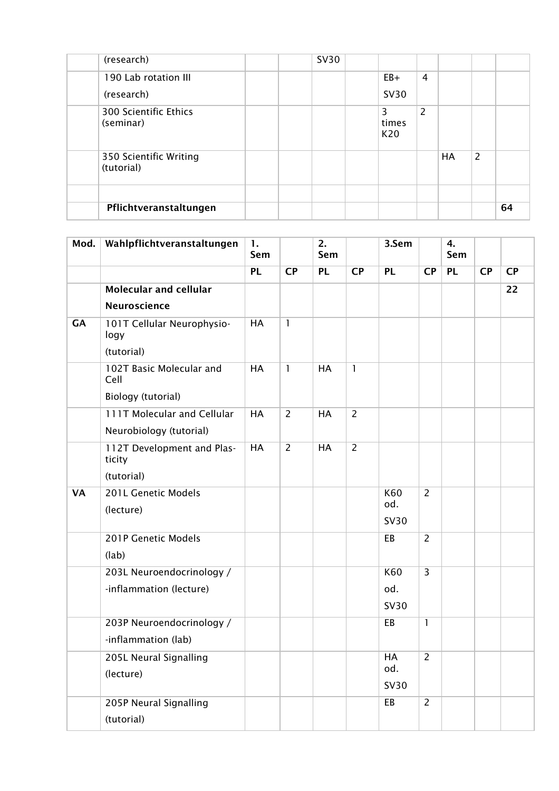|            | (research)             |  | <b>SV30</b> |                   |                |    |   |    |
|------------|------------------------|--|-------------|-------------------|----------------|----|---|----|
|            | 190 Lab rotation III   |  |             | $EB+$             | 4              |    |   |    |
|            | (research)             |  |             | <b>SV30</b>       |                |    |   |    |
| (seminar)  | 300 Scientific Ethics  |  |             | 3<br>times<br>K20 | $\overline{2}$ |    |   |    |
| (tutorial) | 350 Scientific Writing |  |             |                   |                | HA | 2 |    |
|            | Pflichtveranstaltungen |  |             |                   |                |    |   | 64 |

| Mod.      | Wahlpflichtveranstaltungen           | 1.<br>Sem |                | 2.<br>Sem |                | 3.Sem       |                | 4.<br>Sem |           |           |
|-----------|--------------------------------------|-----------|----------------|-----------|----------------|-------------|----------------|-----------|-----------|-----------|
|           |                                      | PL        | <b>CP</b>      | <b>PL</b> | <b>CP</b>      | <b>PL</b>   | <b>CP</b>      | <b>PL</b> | <b>CP</b> | <b>CP</b> |
|           | <b>Molecular and cellular</b>        |           |                |           |                |             |                |           |           | 22        |
|           | <b>Neuroscience</b>                  |           |                |           |                |             |                |           |           |           |
| <b>GA</b> | 101T Cellular Neurophysio-<br>logy   | HA        | 1              |           |                |             |                |           |           |           |
|           | (tutorial)                           |           |                |           |                |             |                |           |           |           |
|           | 102T Basic Molecular and<br>Cell     | HA        | 1              | <b>HA</b> | 1              |             |                |           |           |           |
|           | Biology (tutorial)                   |           |                |           |                |             |                |           |           |           |
|           | 111T Molecular and Cellular          | HA        | $\overline{2}$ | <b>HA</b> | $\overline{2}$ |             |                |           |           |           |
|           | Neurobiology (tutorial)              |           |                |           |                |             |                |           |           |           |
|           | 112T Development and Plas-<br>ticity | HA        | $\overline{2}$ | <b>HA</b> | $\overline{2}$ |             |                |           |           |           |
|           | (tutorial)                           |           |                |           |                |             |                |           |           |           |
| <b>VA</b> | 201L Genetic Models                  |           |                |           |                | K60         | $\overline{2}$ |           |           |           |
|           | (lecture)                            |           |                |           |                | od.         |                |           |           |           |
|           |                                      |           |                |           |                | <b>SV30</b> |                |           |           |           |
|           | 201P Genetic Models                  |           |                |           |                | EB          | $\overline{2}$ |           |           |           |
|           | (lab)                                |           |                |           |                |             |                |           |           |           |
|           | 203L Neuroendocrinology /            |           |                |           |                | K60         | $\overline{3}$ |           |           |           |
|           | -inflammation (lecture)              |           |                |           |                | od.         |                |           |           |           |
|           |                                      |           |                |           |                | <b>SV30</b> |                |           |           |           |
|           | 203P Neuroendocrinology /            |           |                |           |                | EB          | $\mathbf{1}$   |           |           |           |
|           | -inflammation (lab)                  |           |                |           |                |             |                |           |           |           |
|           | 205L Neural Signalling               |           |                |           |                | HA          | $\overline{2}$ |           |           |           |
|           | (lecture)                            |           |                |           |                | od.         |                |           |           |           |
|           |                                      |           |                |           |                | <b>SV30</b> |                |           |           |           |
|           | 205P Neural Signalling               |           |                |           |                | EB          | $\overline{2}$ |           |           |           |
|           | (tutorial)                           |           |                |           |                |             |                |           |           |           |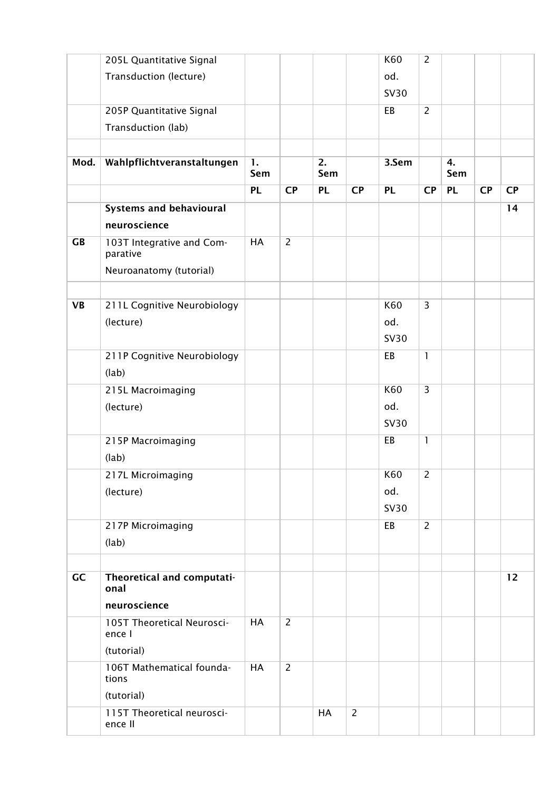|           | 205L Quantitative Signal              |                       |                |           |                | K60         | $\overline{2}$ |           |           |           |
|-----------|---------------------------------------|-----------------------|----------------|-----------|----------------|-------------|----------------|-----------|-----------|-----------|
|           | Transduction (lecture)                |                       |                |           |                | od.         |                |           |           |           |
|           |                                       |                       |                |           |                | <b>SV30</b> |                |           |           |           |
|           | 205P Quantitative Signal              |                       |                |           |                | EB          | $\overline{2}$ |           |           |           |
|           | Transduction (lab)                    |                       |                |           |                |             |                |           |           |           |
|           |                                       |                       |                |           |                |             |                |           |           |           |
| Mod.      | Wahlpflichtveranstaltungen            | $\mathbf{1}$ .<br>Sem |                | 2.<br>Sem |                | 3.Sem       |                | 4.<br>Sem |           |           |
|           |                                       | <b>PL</b>             | <b>CP</b>      | <b>PL</b> | <b>CP</b>      | <b>PL</b>   | <b>CP</b>      | <b>PL</b> | <b>CP</b> | <b>CP</b> |
|           | <b>Systems and behavioural</b>        |                       |                |           |                |             |                |           |           | 14        |
|           | neuroscience                          |                       |                |           |                |             |                |           |           |           |
| <b>GB</b> | 103T Integrative and Com-<br>parative | HA                    | $\overline{2}$ |           |                |             |                |           |           |           |
|           | Neuroanatomy (tutorial)               |                       |                |           |                |             |                |           |           |           |
|           |                                       |                       |                |           |                |             |                |           |           |           |
| <b>VB</b> | 211L Cognitive Neurobiology           |                       |                |           |                | K60         | $\overline{3}$ |           |           |           |
|           | (lecture)                             |                       |                |           |                | od.         |                |           |           |           |
|           |                                       |                       |                |           |                | <b>SV30</b> |                |           |           |           |
|           | 211P Cognitive Neurobiology           |                       |                |           |                | EB          | $\mathbf{1}$   |           |           |           |
|           | (lab)                                 |                       |                |           |                |             |                |           |           |           |
|           | 215L Macroimaging                     |                       |                |           |                | K60         | $\overline{3}$ |           |           |           |
|           | (lecture)                             |                       |                |           |                | od.         |                |           |           |           |
|           |                                       |                       |                |           |                | <b>SV30</b> |                |           |           |           |
|           | 215P Macroimaging                     |                       |                |           |                | EB          | $\mathbf{1}$   |           |           |           |
|           | (lab)                                 |                       |                |           |                |             |                |           |           |           |
|           | 217L Microimaging                     |                       |                |           |                | K60         | $\overline{2}$ |           |           |           |
|           | (lecture)                             |                       |                |           |                | od.         |                |           |           |           |
|           |                                       |                       |                |           |                | <b>SV30</b> |                |           |           |           |
|           | 217P Microimaging                     |                       |                |           |                | EB          | $\overline{2}$ |           |           |           |
|           | (lab)                                 |                       |                |           |                |             |                |           |           |           |
|           |                                       |                       |                |           |                |             |                |           |           |           |
| GC        | Theoretical and computati-<br>onal    |                       |                |           |                |             |                |           |           | 12        |
|           | neuroscience                          |                       |                |           |                |             |                |           |           |           |
|           | 105T Theoretical Neurosci-<br>ence I  | HA                    | $\overline{2}$ |           |                |             |                |           |           |           |
|           | (tutorial)                            |                       |                |           |                |             |                |           |           |           |
|           | 106T Mathematical founda-<br>tions    | HA                    | $\overline{2}$ |           |                |             |                |           |           |           |
|           | (tutorial)                            |                       |                |           |                |             |                |           |           |           |
|           | 115T Theoretical neurosci-<br>ence II |                       |                | HA        | $\overline{2}$ |             |                |           |           |           |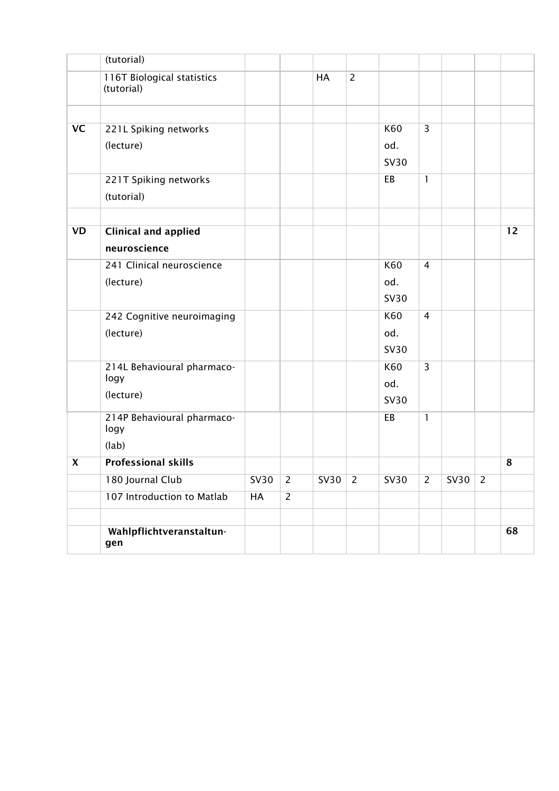|                           | (tutorial)                               |             |                |             |                |             |                |             |                |    |
|---------------------------|------------------------------------------|-------------|----------------|-------------|----------------|-------------|----------------|-------------|----------------|----|
|                           | 116T Biological statistics<br>(tutorial) |             |                | HA          | $\overline{2}$ |             |                |             |                |    |
|                           |                                          |             |                |             |                |             |                |             |                |    |
| <b>VC</b>                 | 221L Spiking networks                    |             |                |             |                | K60         | 3              |             |                |    |
|                           | (lecture)                                |             |                |             |                | od.         |                |             |                |    |
|                           |                                          |             |                |             |                | <b>SV30</b> |                |             |                |    |
|                           | 221T Spiking networks                    |             |                |             |                | EB          | $\mathbf{1}$   |             |                |    |
|                           | (tutorial)                               |             |                |             |                |             |                |             |                |    |
|                           |                                          |             |                |             |                |             |                |             |                |    |
| <b>VD</b>                 | <b>Clinical and applied</b>              |             |                |             |                |             |                |             |                | 12 |
|                           | neuroscience                             |             |                |             |                |             |                |             |                |    |
|                           | 241 Clinical neuroscience                |             |                |             |                | K60         | 4              |             |                |    |
|                           | (lecture)                                |             |                |             |                | od.         |                |             |                |    |
|                           |                                          |             |                |             |                | <b>SV30</b> |                |             |                |    |
|                           | 242 Cognitive neuroimaging               |             |                |             |                | K60         | 4              |             |                |    |
|                           | (lecture)                                |             |                |             |                | od.         |                |             |                |    |
|                           |                                          |             |                |             |                | <b>SV30</b> |                |             |                |    |
|                           | 214L Behavioural pharmaco-               |             |                |             |                | K60         | $\overline{3}$ |             |                |    |
|                           | logy                                     |             |                |             |                | od.         |                |             |                |    |
|                           | (lecture)                                |             |                |             |                | <b>SV30</b> |                |             |                |    |
|                           | 214P Behavioural pharmaco-<br>logy       |             |                |             |                | EB          | $\mathbf{1}$   |             |                |    |
|                           | (lab)                                    |             |                |             |                |             |                |             |                |    |
| $\boldsymbol{\mathsf{X}}$ | <b>Professional skills</b>               |             |                |             |                |             |                |             |                | 8  |
|                           | 180 Journal Club                         | <b>SV30</b> | $\overline{2}$ | <b>SV30</b> | $\overline{2}$ | <b>SV30</b> | $\overline{2}$ | <b>SV30</b> | $\overline{2}$ |    |
|                           | 107 Introduction to Matlab               | HA          | $\overline{2}$ |             |                |             |                |             |                |    |
|                           |                                          |             |                |             |                |             |                |             |                |    |
|                           | Wahlpflichtveranstaltun-<br>gen          |             |                |             |                |             |                |             |                | 68 |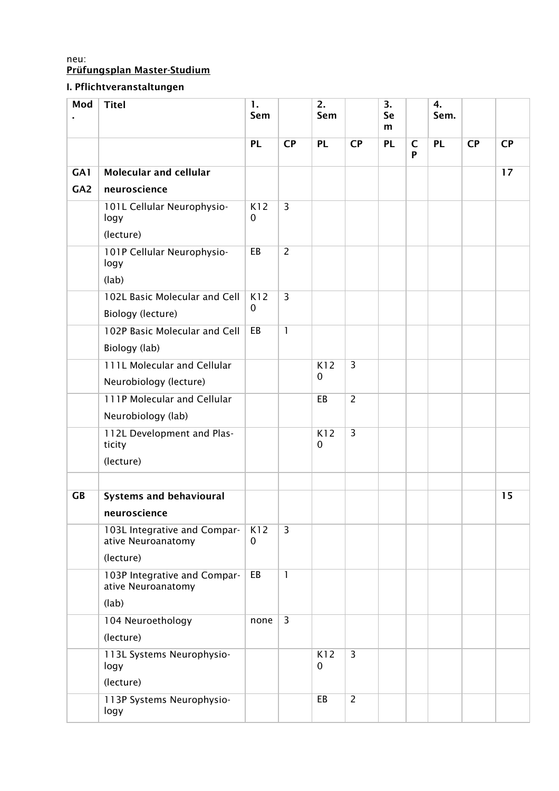### neu: Prüfungsplan Master-Studium

# I. Pflichtveranstaltungen

| Mod       | <b>Titel</b>                                          | 1.<br>Sem          |                | 2.<br>Sem        |                | 3.<br>Se<br>m |                   | 4.<br>Sem. |           |           |
|-----------|-------------------------------------------------------|--------------------|----------------|------------------|----------------|---------------|-------------------|------------|-----------|-----------|
|           |                                                       | <b>PL</b>          | <b>CP</b>      | <b>PL</b>        | <b>CP</b>      | <b>PL</b>     | $\mathsf{C}$<br>P | <b>PL</b>  | <b>CP</b> | <b>CP</b> |
| GA1       | <b>Molecular and cellular</b>                         |                    |                |                  |                |               |                   |            |           | 17        |
| GA2       | neuroscience                                          |                    |                |                  |                |               |                   |            |           |           |
|           | 101L Cellular Neurophysio-<br>logy                    | K12<br>$\mathbf 0$ | $\overline{3}$ |                  |                |               |                   |            |           |           |
|           | (lecture)                                             |                    |                |                  |                |               |                   |            |           |           |
|           | 101P Cellular Neurophysio-<br>logy                    | EB                 | $\overline{2}$ |                  |                |               |                   |            |           |           |
|           | (lab)                                                 |                    |                |                  |                |               |                   |            |           |           |
|           | 102L Basic Molecular and Cell<br>Biology (lecture)    | K12<br>$\pmb{0}$   | $\overline{3}$ |                  |                |               |                   |            |           |           |
|           | 102P Basic Molecular and Cell                         | EB                 | $\mathbf{1}$   |                  |                |               |                   |            |           |           |
|           | Biology (lab)                                         |                    |                |                  |                |               |                   |            |           |           |
|           | 111L Molecular and Cellular<br>Neurobiology (lecture) |                    |                | K12<br>$\pmb{0}$ | $\overline{3}$ |               |                   |            |           |           |
|           | 111P Molecular and Cellular                           |                    |                | EB               | $\overline{2}$ |               |                   |            |           |           |
|           | Neurobiology (lab)                                    |                    |                |                  |                |               |                   |            |           |           |
|           | 112L Development and Plas-<br>ticity                  |                    |                | K12<br>0         | $\overline{3}$ |               |                   |            |           |           |
|           | (lecture)                                             |                    |                |                  |                |               |                   |            |           |           |
| <b>GB</b> | <b>Systems and behavioural</b>                        |                    |                |                  |                |               |                   |            |           | 15        |
|           | neuroscience                                          |                    |                |                  |                |               |                   |            |           |           |
|           | 103L Integrative and Compar-<br>ative Neuroanatomy    | K12<br>$\mathbf 0$ | $\overline{3}$ |                  |                |               |                   |            |           |           |
|           | (lecture)                                             |                    |                |                  |                |               |                   |            |           |           |
|           | 103P Integrative and Compar-<br>ative Neuroanatomy    | EB                 | $\mathbf{1}$   |                  |                |               |                   |            |           |           |
|           | (lab)                                                 |                    |                |                  |                |               |                   |            |           |           |
|           | 104 Neuroethology<br>(lecture)                        | none               | $\overline{3}$ |                  |                |               |                   |            |           |           |
|           |                                                       |                    |                | K12              | $\overline{3}$ |               |                   |            |           |           |
|           | 113L Systems Neurophysio-<br>logy                     |                    |                | $\mathbf 0$      |                |               |                   |            |           |           |
|           | (lecture)                                             |                    |                |                  |                |               |                   |            |           |           |
|           | 113P Systems Neurophysio-<br>logy                     |                    |                | EB               | $\overline{2}$ |               |                   |            |           |           |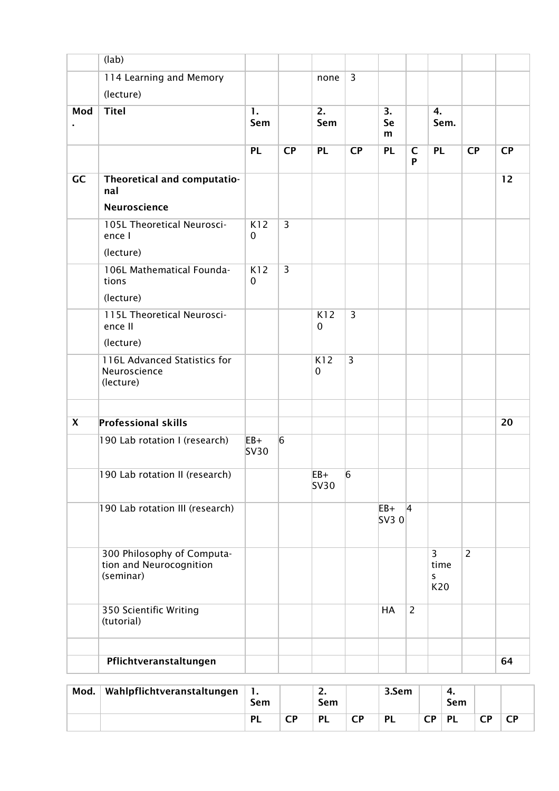|                         | (lab)                                                              |                    |                |                      |                |                |                   |                                     |                |           |
|-------------------------|--------------------------------------------------------------------|--------------------|----------------|----------------------|----------------|----------------|-------------------|-------------------------------------|----------------|-----------|
|                         | 114 Learning and Memory                                            |                    |                | none                 | $\overline{3}$ |                |                   |                                     |                |           |
|                         | (lecture)                                                          |                    |                |                      |                |                |                   |                                     |                |           |
| Mod                     | <b>Titel</b>                                                       | 1.<br>Sem          |                | 2.<br>Sem            |                | 3.<br>Se<br>m  |                   | 4.<br>Sem.                          |                |           |
|                         |                                                                    | <b>PL</b>          | <b>CP</b>      | <b>PL</b>            | <b>CP</b>      | <b>PL</b>      | $\mathsf{C}$<br>P | <b>PL</b>                           | <b>CP</b>      | <b>CP</b> |
| GC                      | Theoretical and computatio-<br>nal<br>Neuroscience                 |                    |                |                      |                |                |                   |                                     |                | 12        |
|                         | 105L Theoretical Neurosci-<br>ence I<br>(lecture)                  | K12<br>0           | $\overline{3}$ |                      |                |                |                   |                                     |                |           |
|                         | 106L Mathematical Founda-<br>tions<br>(lecture)                    | K12<br>$\mathbf 0$ | $\overline{3}$ |                      |                |                |                   |                                     |                |           |
|                         | 115L Theoretical Neurosci-<br>ence II<br>(lecture)                 |                    |                | K12<br>$\mathbf 0$   | $\overline{3}$ |                |                   |                                     |                |           |
|                         | 116L Advanced Statistics for<br>Neuroscience<br>(lecture)          |                    |                | K12<br>$\mathbf 0$   | 3              |                |                   |                                     |                |           |
| $\overline{\mathbf{X}}$ | <b>Professional skills</b>                                         |                    |                |                      |                |                |                   |                                     |                | 20        |
|                         | 190 Lab rotation I (research)                                      | $EB+$<br>SV30      | $\overline{6}$ |                      |                |                |                   |                                     |                |           |
|                         | 190 Lab rotation II (research)                                     |                    |                | $EB+$<br><b>SV30</b> | 6              |                |                   |                                     |                |           |
|                         | 190 Lab rotation III (research)                                    |                    |                |                      |                | $EB+$<br>SV3 0 | $\vert$ 4         |                                     |                |           |
|                         | 300 Philosophy of Computa-<br>tion and Neurocognition<br>(seminar) |                    |                |                      |                |                |                   | $\overline{3}$<br>time<br>S.<br>K20 | $\overline{2}$ |           |
|                         | 350 Scientific Writing<br>(tutorial)                               |                    |                |                      |                | <b>HA</b>      | $\overline{2}$    |                                     |                |           |
|                         | Pflichtveranstaltungen                                             |                    |                |                      |                |                |                   |                                     |                | 64        |
|                         |                                                                    |                    |                |                      |                |                |                   |                                     |                |           |

| Mod. | Wahlpflichtveranstaltungen | л.<br>Sem |         | <u>.</u><br>Sem |         | 3.Sem     |    | т.<br>Sem |   |   |
|------|----------------------------|-----------|---------|-----------------|---------|-----------|----|-----------|---|---|
|      |                            | PL        | ΓD<br>◡ | <b>PI</b>       | ΓD<br>◡ | <b>PL</b> | СP | <b>PL</b> | ∼ | ◡ |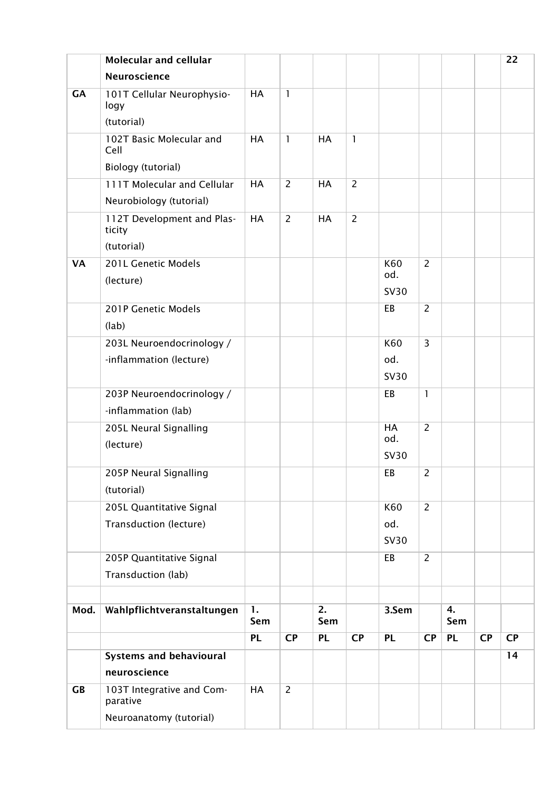|           | <b>Molecular and cellular</b>         |                       |                |                         |                |             |                |           |           | 22        |
|-----------|---------------------------------------|-----------------------|----------------|-------------------------|----------------|-------------|----------------|-----------|-----------|-----------|
|           | Neuroscience                          |                       |                |                         |                |             |                |           |           |           |
| GA        | 101T Cellular Neurophysio-<br>logy    | HA                    | 1              |                         |                |             |                |           |           |           |
|           | (tutorial)                            |                       |                |                         |                |             |                |           |           |           |
|           | 102T Basic Molecular and<br>Cell      | HA                    | 1              | <b>HA</b>               | $\mathbf{I}$   |             |                |           |           |           |
|           | Biology (tutorial)                    |                       |                |                         |                |             |                |           |           |           |
|           | 111T Molecular and Cellular           | HA                    | $\overline{2}$ | <b>HA</b>               | $\overline{2}$ |             |                |           |           |           |
|           | Neurobiology (tutorial)               |                       |                |                         |                |             |                |           |           |           |
|           | 112T Development and Plas-<br>ticity  | HA                    | $\overline{2}$ | HA                      | $\overline{2}$ |             |                |           |           |           |
|           | (tutorial)                            |                       |                |                         |                |             |                |           |           |           |
| <b>VA</b> | 201L Genetic Models                   |                       |                |                         |                | K60<br>od.  | $\overline{2}$ |           |           |           |
|           | (lecture)                             |                       |                |                         |                | <b>SV30</b> |                |           |           |           |
|           | 201P Genetic Models                   |                       |                |                         |                | EB          | $\overline{2}$ |           |           |           |
|           | (lab)                                 |                       |                |                         |                |             |                |           |           |           |
|           | 203L Neuroendocrinology /             |                       |                |                         |                | K60         | 3              |           |           |           |
|           | -inflammation (lecture)               |                       |                |                         |                | od.         |                |           |           |           |
|           |                                       |                       |                |                         |                | <b>SV30</b> |                |           |           |           |
|           | 203P Neuroendocrinology /             |                       |                |                         |                | EB          | $\mathbf{1}$   |           |           |           |
|           | -inflammation (lab)                   |                       |                |                         |                |             |                |           |           |           |
|           | 205L Neural Signalling                |                       |                |                         |                | <b>HA</b>   | $\overline{2}$ |           |           |           |
|           | (lecture)                             |                       |                |                         |                | od.         |                |           |           |           |
|           |                                       |                       |                |                         |                | <b>SV30</b> |                |           |           |           |
|           | 205P Neural Signalling                |                       |                |                         |                | EB          | $\overline{c}$ |           |           |           |
|           | (tutorial)                            |                       |                |                         |                |             |                |           |           |           |
|           | 205L Quantitative Signal              |                       |                |                         |                | K60         | $\overline{2}$ |           |           |           |
|           | Transduction (lecture)                |                       |                |                         |                | od.         |                |           |           |           |
|           |                                       |                       |                |                         |                | <b>SV30</b> |                |           |           |           |
|           | 205P Quantitative Signal              |                       |                |                         |                | EB          | $\overline{2}$ |           |           |           |
|           | Transduction (lab)                    |                       |                |                         |                |             |                |           |           |           |
|           |                                       |                       |                |                         |                |             |                |           |           |           |
| Mod.      | Wahlpflichtveranstaltungen            | $\mathbf{1}$ .<br>Sem |                | $\overline{2}$ .<br>Sem |                | 3.Sem       |                | 4.<br>Sem |           |           |
|           |                                       | <b>PL</b>             | CP             | <b>PL</b>               | <b>CP</b>      | <b>PL</b>   | CP             | <b>PL</b> | <b>CP</b> | <b>CP</b> |
|           | <b>Systems and behavioural</b>        |                       |                |                         |                |             |                |           |           | 14        |
|           | neuroscience                          |                       |                |                         |                |             |                |           |           |           |
| <b>GB</b> | 103T Integrative and Com-<br>parative | HA                    | $\overline{2}$ |                         |                |             |                |           |           |           |
|           | Neuroanatomy (tutorial)               |                       |                |                         |                |             |                |           |           |           |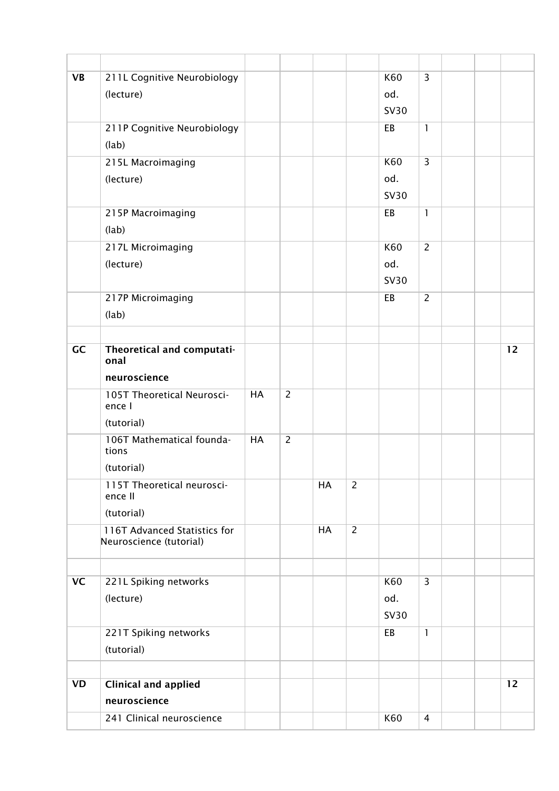| <b>VB</b> | 211L Cognitive Neurobiology                             |    |                |    |                | K60         | $\overline{3}$ |  |    |
|-----------|---------------------------------------------------------|----|----------------|----|----------------|-------------|----------------|--|----|
|           | (lecture)                                               |    |                |    |                | od.         |                |  |    |
|           |                                                         |    |                |    |                | <b>SV30</b> |                |  |    |
|           | 211P Cognitive Neurobiology                             |    |                |    |                | EB          | $\mathbf{1}$   |  |    |
|           | (lab)                                                   |    |                |    |                |             |                |  |    |
|           | 215L Macroimaging                                       |    |                |    |                | K60         | $\overline{3}$ |  |    |
|           | (lecture)                                               |    |                |    |                | od.         |                |  |    |
|           |                                                         |    |                |    |                | <b>SV30</b> |                |  |    |
|           | 215P Macroimaging                                       |    |                |    |                | EB          | $\mathbf{1}$   |  |    |
|           | (lab)                                                   |    |                |    |                |             |                |  |    |
|           | 217L Microimaging                                       |    |                |    |                | K60         | $\overline{2}$ |  |    |
|           | (lecture)                                               |    |                |    |                | od.         |                |  |    |
|           |                                                         |    |                |    |                | <b>SV30</b> |                |  |    |
|           | 217P Microimaging                                       |    |                |    |                | EB          | $\overline{2}$ |  |    |
|           | (lab)                                                   |    |                |    |                |             |                |  |    |
|           |                                                         |    |                |    |                |             |                |  |    |
| GC        | Theoretical and computati-<br>onal                      |    |                |    |                |             |                |  | 12 |
|           | neuroscience                                            |    |                |    |                |             |                |  |    |
|           | 105T Theoretical Neurosci-<br>ence I                    | HA | $\overline{2}$ |    |                |             |                |  |    |
|           | (tutorial)                                              |    |                |    |                |             |                |  |    |
|           | 106T Mathematical founda-<br>tions                      | HA | $\overline{2}$ |    |                |             |                |  |    |
|           | (tutorial)                                              |    |                |    |                |             |                |  |    |
|           | 115T Theoretical neurosci-<br>ence II                   |    |                | HA | $\overline{2}$ |             |                |  |    |
|           | (tutorial)                                              |    |                |    |                |             |                |  |    |
|           | 116T Advanced Statistics for<br>Neuroscience (tutorial) |    |                | HA | $\overline{2}$ |             |                |  |    |
|           |                                                         |    |                |    |                |             |                |  |    |
| <b>VC</b> | 221L Spiking networks                                   |    |                |    |                | K60         | $\overline{3}$ |  |    |
|           | (lecture)                                               |    |                |    |                | od.         |                |  |    |
|           |                                                         |    |                |    |                | <b>SV30</b> |                |  |    |
|           | 221T Spiking networks                                   |    |                |    |                | EB          | $\mathbf{1}$   |  |    |
|           | (tutorial)                                              |    |                |    |                |             |                |  |    |
|           |                                                         |    |                |    |                |             |                |  |    |
| <b>VD</b> | <b>Clinical and applied</b>                             |    |                |    |                |             |                |  | 12 |
|           | neuroscience                                            |    |                |    |                |             |                |  |    |
|           | 241 Clinical neuroscience                               |    |                |    |                | K60         | 4              |  |    |